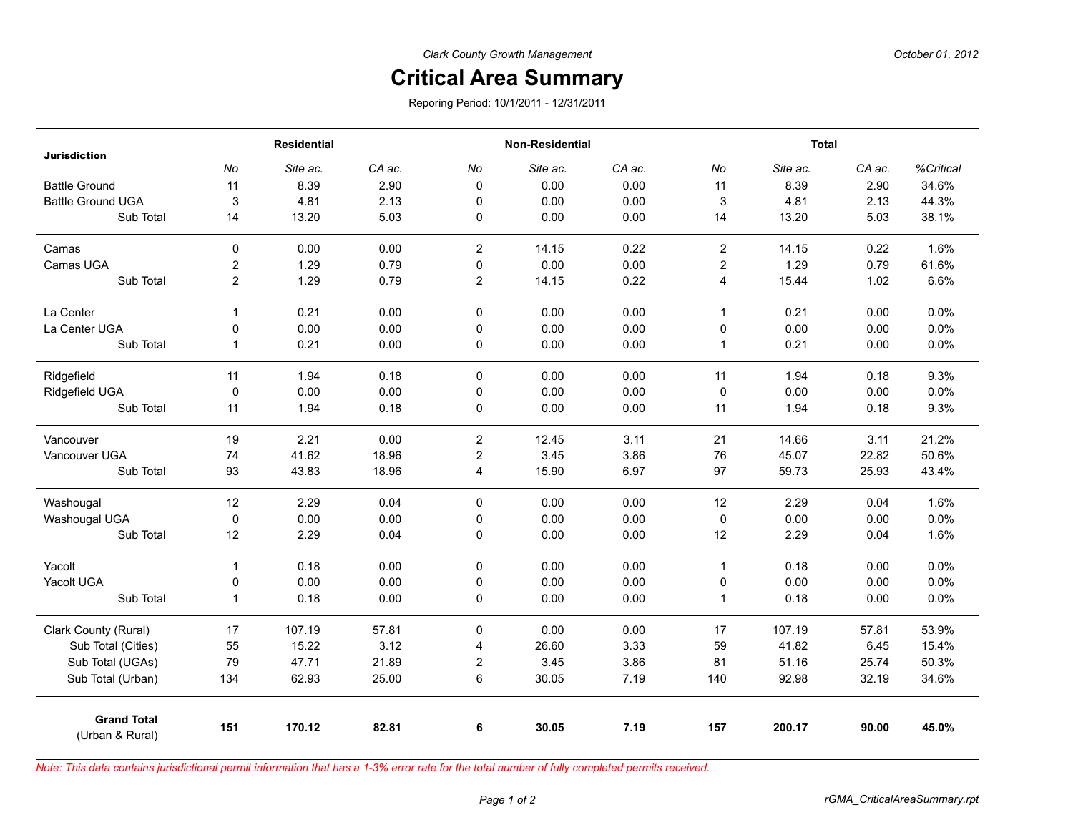## **Critical Area Summary**

Reporing Period: 10/1/2011 - 12/31/2011

| <b>Jurisdiction</b>                   | <b>Residential</b> |          |        | <b>Non-Residential</b> |          |        | <b>Total</b>   |          |        |           |
|---------------------------------------|--------------------|----------|--------|------------------------|----------|--------|----------------|----------|--------|-----------|
|                                       | No                 | Site ac. | CA ac. | No                     | Site ac. | CA ac. | No             | Site ac. | CA ac. | %Critical |
| <b>Battle Ground</b>                  | 11                 | 8.39     | 2.90   | $\mathbf 0$            | 0.00     | 0.00   | 11             | 8.39     | 2.90   | 34.6%     |
| <b>Battle Ground UGA</b>              | 3                  | 4.81     | 2.13   | $\mathbf 0$            | 0.00     | 0.00   | 3              | 4.81     | 2.13   | 44.3%     |
| Sub Total                             | 14                 | 13.20    | 5.03   | $\mathbf 0$            | 0.00     | 0.00   | 14             | 13.20    | 5.03   | 38.1%     |
| Camas                                 | $\mathbf 0$        | 0.00     | 0.00   | $\overline{2}$         | 14.15    | 0.22   | $\mathbf{2}$   | 14.15    | 0.22   | 1.6%      |
| Camas UGA                             | $\overline{c}$     | 1.29     | 0.79   | $\pmb{0}$              | 0.00     | 0.00   | $\overline{c}$ | 1.29     | 0.79   | 61.6%     |
| Sub Total                             | $\overline{c}$     | 1.29     | 0.79   | $\overline{c}$         | 14.15    | 0.22   | $\overline{4}$ | 15.44    | 1.02   | 6.6%      |
| La Center                             | $\mathbf{1}$       | 0.21     | 0.00   | $\mathbf 0$            | 0.00     | 0.00   | $\mathbf{1}$   | 0.21     | 0.00   | 0.0%      |
| La Center UGA                         | 0                  | 0.00     | 0.00   | $\pmb{0}$              | 0.00     | 0.00   | 0              | 0.00     | 0.00   | 0.0%      |
| Sub Total                             | $\mathbf{1}$       | 0.21     | 0.00   | 0                      | 0.00     | 0.00   | $\mathbf{1}$   | 0.21     | 0.00   | 0.0%      |
| Ridgefield                            | 11                 | 1.94     | 0.18   | $\Omega$               | 0.00     | 0.00   | 11             | 1.94     | 0.18   | 9.3%      |
| Ridgefield UGA                        | $\mathbf 0$        | 0.00     | 0.00   | $\mathbf 0$            | 0.00     | 0.00   | 0              | 0.00     | 0.00   | 0.0%      |
| Sub Total                             | 11                 | 1.94     | 0.18   | 0                      | 0.00     | 0.00   | 11             | 1.94     | 0.18   | 9.3%      |
| Vancouver                             | 19                 | 2.21     | 0.00   | $\overline{c}$         | 12.45    | 3.11   | 21             | 14.66    | 3.11   | 21.2%     |
| Vancouver UGA                         | 74                 | 41.62    | 18.96  | $\overline{c}$         | 3.45     | 3.86   | 76             | 45.07    | 22.82  | 50.6%     |
| Sub Total                             | 93                 | 43.83    | 18.96  | $\overline{4}$         | 15.90    | 6.97   | 97             | 59.73    | 25.93  | 43.4%     |
| Washougal                             | 12                 | 2.29     | 0.04   | 0                      | 0.00     | 0.00   | 12             | 2.29     | 0.04   | 1.6%      |
| Washougal UGA                         | $\pmb{0}$          | 0.00     | 0.00   | $\pmb{0}$              | 0.00     | 0.00   | 0              | 0.00     | 0.00   | 0.0%      |
| Sub Total                             | 12                 | 2.29     | 0.04   | $\mathbf 0$            | 0.00     | 0.00   | 12             | 2.29     | 0.04   | 1.6%      |
| Yacolt                                | $\mathbf{1}$       | 0.18     | 0.00   | $\mathbf 0$            | 0.00     | 0.00   | $\mathbf{1}$   | 0.18     | 0.00   | 0.0%      |
| Yacolt UGA                            | 0                  | 0.00     | 0.00   | $\pmb{0}$              | 0.00     | 0.00   | $\pmb{0}$      | 0.00     | 0.00   | 0.0%      |
| Sub Total                             | $\mathbf{1}$       | 0.18     | 0.00   | $\pmb{0}$              | 0.00     | 0.00   | $\mathbf{1}$   | 0.18     | 0.00   | 0.0%      |
| Clark County (Rural)                  | 17                 | 107.19   | 57.81  | 0                      | 0.00     | 0.00   | 17             | 107.19   | 57.81  | 53.9%     |
| Sub Total (Cities)                    | 55                 | 15.22    | 3.12   | 4                      | 26.60    | 3.33   | 59             | 41.82    | 6.45   | 15.4%     |
| Sub Total (UGAs)                      | 79                 | 47.71    | 21.89  | $\overline{c}$         | 3.45     | 3.86   | 81             | 51.16    | 25.74  | 50.3%     |
| Sub Total (Urban)                     | 134                | 62.93    | 25.00  | 6                      | 30.05    | 7.19   | 140            | 92.98    | 32.19  | 34.6%     |
| <b>Grand Total</b><br>(Urban & Rural) | 151                | 170.12   | 82.81  | 6                      | 30.05    | 7.19   | 157            | 200.17   | 90.00  | 45.0%     |

*Note: This data contains jurisdictional permit information that has a 1-3% error rate for the total number of fully completed permits received.*